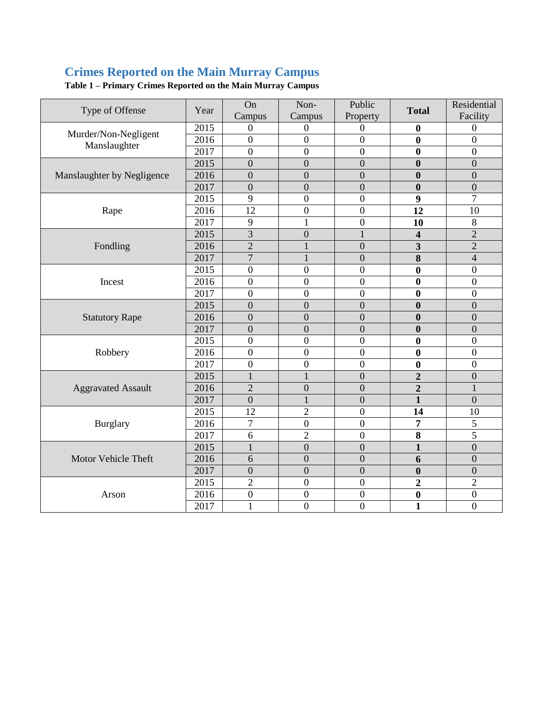## **Crimes Reported on the Main Murray Campus**

| Type of Offense                      | Year | On<br>Campus     | Non-<br>Campus   | Public<br>Property | <b>Total</b>            | Residential<br>Facility |
|--------------------------------------|------|------------------|------------------|--------------------|-------------------------|-------------------------|
| Murder/Non-Negligent<br>Manslaughter | 2015 | $\Omega$         | $\mathbf{0}$     | $\Omega$           | $\boldsymbol{0}$        | $\boldsymbol{0}$        |
|                                      | 2016 | $\boldsymbol{0}$ | $\boldsymbol{0}$ | $\boldsymbol{0}$   | $\bf{0}$                | $\boldsymbol{0}$        |
|                                      | 2017 | $\overline{0}$   | $\overline{0}$   | $\boldsymbol{0}$   | $\bf{0}$                | $\boldsymbol{0}$        |
|                                      | 2015 | $\overline{0}$   | $\overline{0}$   | $\mathbf{0}$       | $\bf{0}$                | $\boldsymbol{0}$        |
| Manslaughter by Negligence           | 2016 | $\overline{0}$   | $\overline{0}$   | $\boldsymbol{0}$   | $\bf{0}$                | $\overline{0}$          |
|                                      | 2017 | $\overline{0}$   | $\overline{0}$   | $\boldsymbol{0}$   | $\bf{0}$                | $\boldsymbol{0}$        |
|                                      | 2015 | 9                | $\boldsymbol{0}$ | $\boldsymbol{0}$   | 9                       | $\overline{7}$          |
| Rape                                 | 2016 | 12               | $\boldsymbol{0}$ | $\boldsymbol{0}$   | 12                      | 10                      |
|                                      | 2017 | 9                | $\mathbf{1}$     | $\boldsymbol{0}$   | 10                      | $\,8\,$                 |
|                                      | 2015 | $\overline{3}$   | $\overline{0}$   | $\mathbf{1}$       | $\overline{\mathbf{4}}$ | $\overline{2}$          |
| Fondling                             | 2016 | $\overline{2}$   |                  | $\overline{0}$     | 3                       | $\overline{2}$          |
|                                      | 2017 | $\overline{7}$   | 1                | $\overline{0}$     | 8                       | $\overline{4}$          |
|                                      | 2015 | $\overline{0}$   | $\overline{0}$   | $\overline{0}$     | $\bf{0}$                | $\overline{0}$          |
| Incest                               | 2016 | $\boldsymbol{0}$ | $\overline{0}$   | $\overline{0}$     | $\bf{0}$                | $\boldsymbol{0}$        |
|                                      | 2017 | $\boldsymbol{0}$ | $\overline{0}$   | $\overline{0}$     | $\bf{0}$                | $\boldsymbol{0}$        |
|                                      | 2015 | $\boldsymbol{0}$ | $\overline{0}$   | $\boldsymbol{0}$   | $\bf{0}$                | $\boldsymbol{0}$        |
| <b>Statutory Rape</b>                | 2016 | $\overline{0}$   | $\overline{0}$   | $\overline{0}$     | $\bf{0}$                | $\overline{0}$          |
|                                      | 2017 | $\overline{0}$   | $\overline{0}$   | $\overline{0}$     | $\bf{0}$                | $\overline{0}$          |
|                                      | 2015 | $\overline{0}$   | $\boldsymbol{0}$ | $\overline{0}$     | $\bf{0}$                | $\overline{0}$          |
| Robbery                              | 2016 | $\overline{0}$   | $\overline{0}$   | $\overline{0}$     | $\bf{0}$                | $\overline{0}$          |
|                                      | 2017 | $\overline{0}$   | $\overline{0}$   | $\overline{0}$     | $\bf{0}$                | $\overline{0}$          |
| <b>Aggravated Assault</b>            | 2015 | $\mathbf{1}$     |                  | $\mathbf{0}$       | $\overline{2}$          | $\mathbf{0}$            |
|                                      | 2016 | $\overline{2}$   | $\overline{0}$   | $\overline{0}$     | $\overline{2}$          | $\mathbf{1}$            |
|                                      | 2017 | $\boldsymbol{0}$ |                  | $\overline{0}$     | $\mathbf{1}$            | $\mathbf{0}$            |
| <b>Burglary</b>                      | 2015 | $\overline{12}$  | $\overline{2}$   | $\overline{0}$     | 14                      | 10                      |
|                                      | 2016 | $\overline{7}$   | $\overline{0}$   | $\overline{0}$     | 7                       | 5                       |
|                                      | 2017 | 6                | $\overline{2}$   | $\overline{0}$     | 8                       | $\overline{5}$          |
| Motor Vehicle Theft                  | 2015 |                  | $\overline{0}$   | $\overline{0}$     | $\mathbf{1}$            | $\overline{0}$          |
|                                      | 2016 | 6                | $\overline{0}$   | $\overline{0}$     | 6                       | $\overline{0}$          |
|                                      | 2017 | $\overline{0}$   | $\overline{0}$   | $\overline{0}$     | $\boldsymbol{0}$        | $\overline{0}$          |
|                                      | 2015 | $\overline{2}$   | $\boldsymbol{0}$ | $\overline{0}$     | $\overline{2}$          | $\overline{2}$          |
| Arson                                | 2016 | $\overline{0}$   | $\boldsymbol{0}$ | $\overline{0}$     | $\bf{0}$                | $\overline{0}$          |
|                                      | 2017 | $\mathbf{1}$     | $\boldsymbol{0}$ | $\overline{0}$     | $\mathbf{1}$            | $\boldsymbol{0}$        |

**Table 1 – Primary Crimes Reported on the Main Murray Campus**